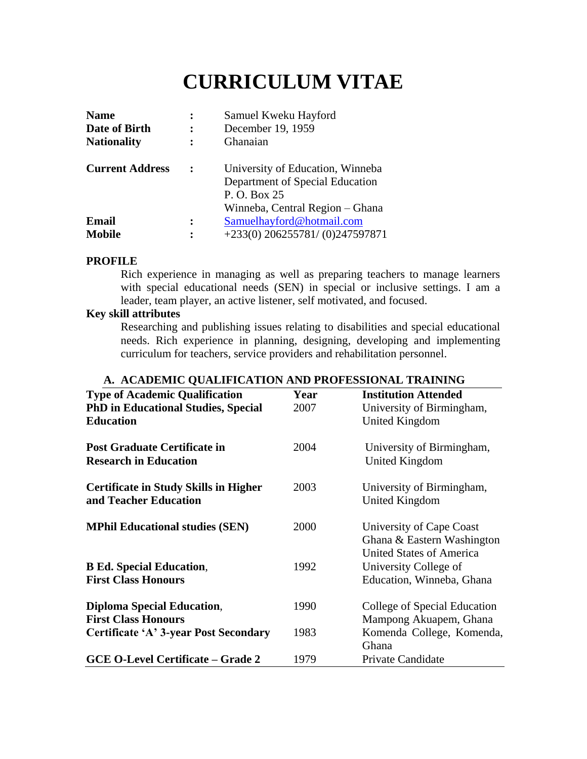# **CURRICULUM VITAE**

| <b>Name</b><br>Date of Birth<br><b>Nationality</b> | Samuel Kweku Hayford<br>December 19, 1959<br>Ghanaian                                                                  |
|----------------------------------------------------|------------------------------------------------------------------------------------------------------------------------|
| <b>Current Address</b>                             | University of Education, Winneba<br>Department of Special Education<br>P. O. Box 25<br>Winneba, Central Region – Ghana |
| Email                                              | Samuelhayford@hotmail.com                                                                                              |
| <b>Mobile</b>                                      | $+233(0)$ 206255781/(0)247597871                                                                                       |

# **PROFILE**

Rich experience in managing as well as preparing teachers to manage learners with special educational needs (SEN) in special or inclusive settings. I am a leader, team player, an active listener, self motivated, and focused.

# **Key skill attributes**

Researching and publishing issues relating to disabilities and special educational needs. Rich experience in planning, designing, developing and implementing curriculum for teachers, service providers and rehabilitation personnel.

| <b>Type of Academic Qualification</b>        | Year | <b>Institution Attended</b>     |
|----------------------------------------------|------|---------------------------------|
| <b>PhD in Educational Studies, Special</b>   | 2007 | University of Birmingham,       |
| <b>Education</b>                             |      | United Kingdom                  |
| <b>Post Graduate Certificate in</b>          | 2004 | University of Birmingham,       |
| <b>Research in Education</b>                 |      | <b>United Kingdom</b>           |
| <b>Certificate in Study Skills in Higher</b> | 2003 | University of Birmingham,       |
| and Teacher Education                        |      | United Kingdom                  |
| <b>MPhil Educational studies (SEN)</b>       | 2000 | University of Cape Coast        |
|                                              |      | Ghana & Eastern Washington      |
|                                              |      | <b>United States of America</b> |
| <b>B Ed. Special Education,</b>              | 1992 | University College of           |
| <b>First Class Honours</b>                   |      | Education, Winneba, Ghana       |
| <b>Diploma Special Education,</b>            | 1990 | College of Special Education    |
| <b>First Class Honours</b>                   |      | Mampong Akuapem, Ghana          |
| <b>Certificate 'A' 3-year Post Secondary</b> | 1983 | Komenda College, Komenda,       |
|                                              |      | Ghana                           |
| <b>GCE O-Level Certificate – Grade 2</b>     | 1979 | Private Candidate               |

# **A. ACADEMIC QUALIFICATION AND PROFESSIONAL TRAINING**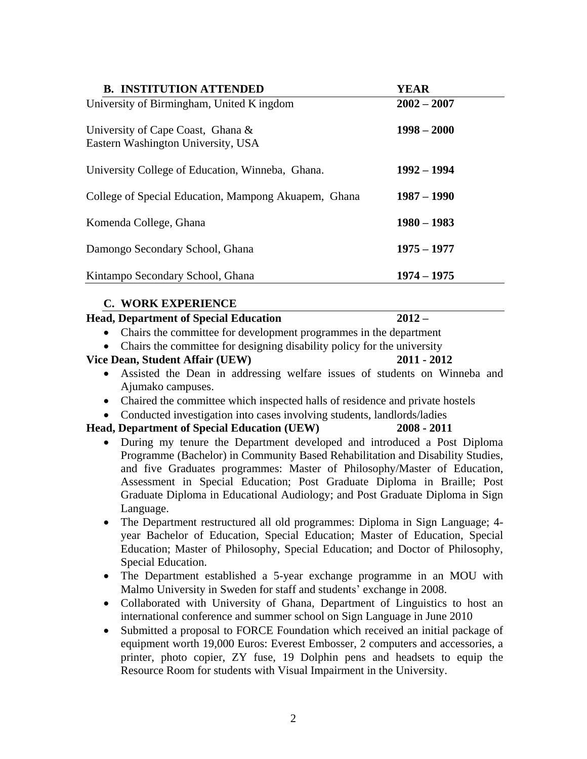| <b>B. INSTITUTION ATTENDED</b>                                          | <b>YEAR</b>   |
|-------------------------------------------------------------------------|---------------|
| University of Birmingham, United K ingdom                               | $2002 - 2007$ |
| University of Cape Coast, Ghana &<br>Eastern Washington University, USA | $1998 - 2000$ |
| University College of Education, Winneba, Ghana.                        | $1992 - 1994$ |
| College of Special Education, Mampong Akuapem, Ghana                    | $1987 - 1990$ |
| Komenda College, Ghana                                                  | $1980 - 1983$ |
| Damongo Secondary School, Ghana                                         | $1975 - 1977$ |
| Kintampo Secondary School, Ghana                                        | $1974 - 1975$ |

# **C. WORK EXPERIENCE**

### **Head, Department of Special Education 2012 –**

- Chairs the committee for development programmes in the department
- Chairs the committee for designing disability policy for the university

### **Vice Dean, Student Affair (UEW) 2011 - 2012**

- Assisted the Dean in addressing welfare issues of students on Winneba and Ajumako campuses.
- Chaired the committee which inspected halls of residence and private hostels
- Conducted investigation into cases involving students, landlords/ladies

# **Head, Department of Special Education (UEW) 2008 - 2011**

- During my tenure the Department developed and introduced a Post Diploma Programme (Bachelor) in Community Based Rehabilitation and Disability Studies, and five Graduates programmes: Master of Philosophy/Master of Education, Assessment in Special Education; Post Graduate Diploma in Braille; Post Graduate Diploma in Educational Audiology; and Post Graduate Diploma in Sign Language.
- The Department restructured all old programmes: Diploma in Sign Language; 4 year Bachelor of Education, Special Education; Master of Education, Special Education; Master of Philosophy, Special Education; and Doctor of Philosophy, Special Education.
- The Department established a 5-year exchange programme in an MOU with Malmo University in Sweden for staff and students' exchange in 2008.
- Collaborated with University of Ghana, Department of Linguistics to host an international conference and summer school on Sign Language in June 2010
- Submitted a proposal to FORCE Foundation which received an initial package of equipment worth 19,000 Euros: Everest Embosser, 2 computers and accessories, a printer, photo copier, ZY fuse, 19 Dolphin pens and headsets to equip the Resource Room for students with Visual Impairment in the University.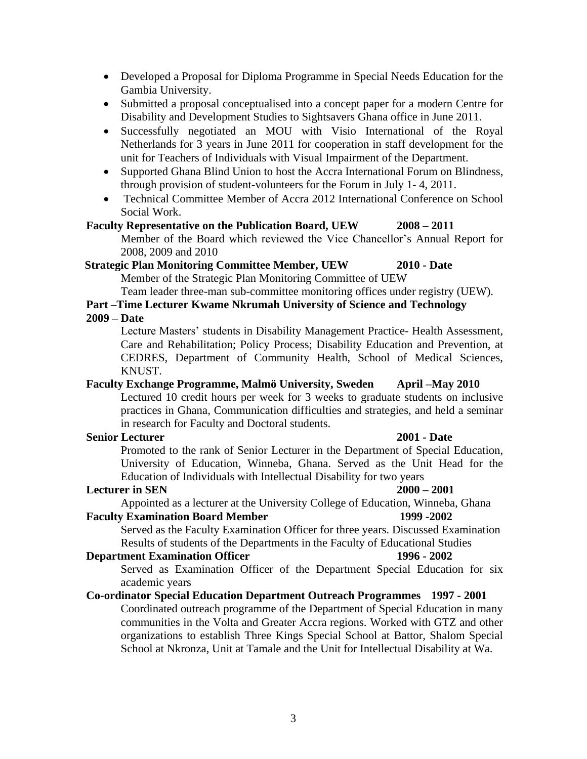- Developed a Proposal for Diploma Programme in Special Needs Education for the Gambia University.
- Submitted a proposal conceptualised into a concept paper for a modern Centre for Disability and Development Studies to Sightsavers Ghana office in June 2011.
- Successfully negotiated an MOU with Visio International of the Royal Netherlands for 3 years in June 2011 for cooperation in staff development for the unit for Teachers of Individuals with Visual Impairment of the Department.
- Supported Ghana Blind Union to host the Accra International Forum on Blindness, through provision of student-volunteers for the Forum in July 1- 4, 2011.
- Technical Committee Member of Accra 2012 International Conference on School Social Work.

#### **Faculty Representative on the Publication Board, UEW 2008 – 2011**

Member of the Board which reviewed the Vice Chancellor's Annual Report for 2008, 2009 and 2010

# **Strategic Plan Monitoring Committee Member, UEW 2010 - Date**

Member of the Strategic Plan Monitoring Committee of UEW

Team leader three-man sub-committee monitoring offices under registry (UEW).

# **Part –Time Lecturer Kwame Nkrumah University of Science and Technology**

**2009 – Date**

Lecture Masters' students in Disability Management Practice- Health Assessment, Care and Rehabilitation; Policy Process; Disability Education and Prevention, at CEDRES, Department of Community Health, School of Medical Sciences, KNUST.

### **Faculty Exchange Programme, Malmö University, Sweden April –May 2010**

Lectured 10 credit hours per week for 3 weeks to graduate students on inclusive practices in Ghana, Communication difficulties and strategies, and held a seminar in research for Faculty and Doctoral students.

#### **Senior Lecturer 2001 - Date**

Promoted to the rank of Senior Lecturer in the Department of Special Education, University of Education, Winneba, Ghana. Served as the Unit Head for the Education of Individuals with Intellectual Disability for two years

### **Lecturer in SEN 2000 – 2001**

Appointed as a lecturer at the University College of Education, Winneba, Ghana

#### **Faculty Examination Board Member 1999 -2002**

Served as the Faculty Examination Officer for three years. Discussed Examination Results of students of the Departments in the Faculty of Educational Studies

### **Department Examination Officer 1996 - 2002**

Served as Examination Officer of the Department Special Education for six academic years

School at Nkronza, Unit at Tamale and the Unit for Intellectual Disability at Wa.

### **Co-ordinator Special Education Department Outreach Programmes 1997 - 2001** Coordinated outreach programme of the Department of Special Education in many communities in the Volta and Greater Accra regions. Worked with GTZ and other organizations to establish Three Kings Special School at Battor, Shalom Special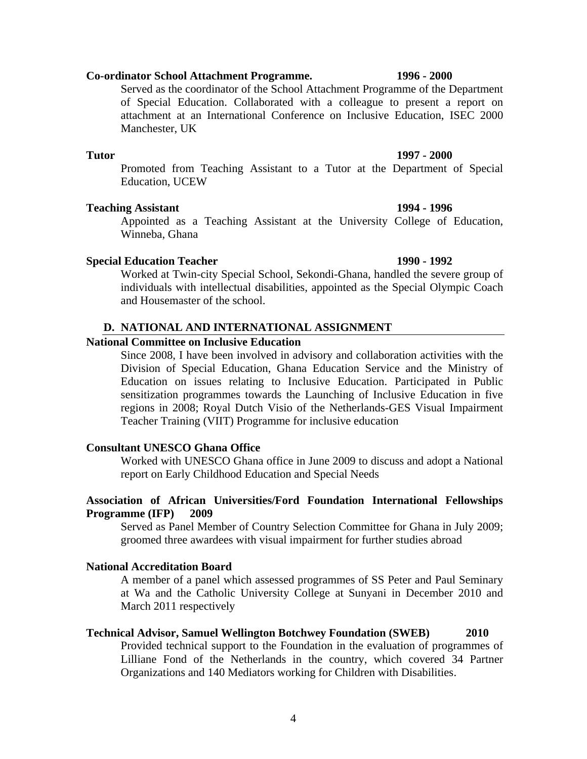### **Co-ordinator School Attachment Programme. 1996 - 2000**

Served as the coordinator of the School Attachment Programme of the Department of Special Education. Collaborated with a colleague to present a report on attachment at an International Conference on Inclusive Education, ISEC 2000 Manchester, UK

#### **Tutor 1997 - 2000**

Promoted from Teaching Assistant to a Tutor at the Department of Special Education, UCEW

#### **Teaching Assistant 1994 - 1996**

Appointed as a Teaching Assistant at the University College of Education, Winneba, Ghana

#### **Special Education Teacher 1990 - 1992**

Worked at Twin-city Special School, Sekondi-Ghana, handled the severe group of individuals with intellectual disabilities, appointed as the Special Olympic Coach and Housemaster of the school.

#### **D. NATIONAL AND INTERNATIONAL ASSIGNMENT**

#### **National Committee on Inclusive Education**

Since 2008, I have been involved in advisory and collaboration activities with the Division of Special Education, Ghana Education Service and the Ministry of Education on issues relating to Inclusive Education. Participated in Public sensitization programmes towards the Launching of Inclusive Education in five regions in 2008; Royal Dutch Visio of the Netherlands-GES Visual Impairment Teacher Training (VIIT) Programme for inclusive education

#### **Consultant UNESCO Ghana Office**

Worked with UNESCO Ghana office in June 2009 to discuss and adopt a National report on Early Childhood Education and Special Needs

### **Association of African Universities/Ford Foundation International Fellowships Programme (IFP) 2009**

Served as Panel Member of Country Selection Committee for Ghana in July 2009; groomed three awardees with visual impairment for further studies abroad

#### **National Accreditation Board**

A member of a panel which assessed programmes of SS Peter and Paul Seminary at Wa and the Catholic University College at Sunyani in December 2010 and March 2011 respectively

#### **Technical Advisor, Samuel Wellington Botchwey Foundation (SWEB) 2010**

Provided technical support to the Foundation in the evaluation of programmes of Lilliane Fond of the Netherlands in the country, which covered 34 Partner Organizations and 140 Mediators working for Children with Disabilities.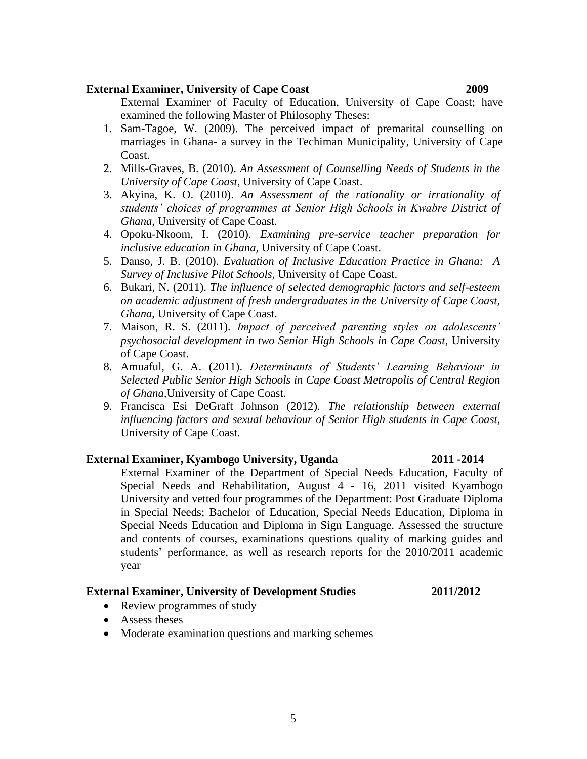#### **External Examiner, University of Cape Coast 2009**

External Examiner of Faculty of Education, University of Cape Coast; have examined the following Master of Philosophy Theses:

- 1. Sam-Tagoe, W. (2009). The perceived impact of premarital counselling on marriages in Ghana- a survey in the Techiman Municipality, University of Cape Coast.
- 2. Mills-Graves, B. (2010). *An Assessment of Counselling Needs of Students in the University of Cape Coast,* University of Cape Coast.
- 3. Akyina, K. O. (2010). *An Assessment of the rationality or irrationality of students' choices of programmes at Senior High Schools in Kwabre District of Ghana*, University of Cape Coast.
- 4. Opoku-Nkoom, I. (2010). *Examining pre-service teacher preparation for inclusive education in Ghana,* University of Cape Coast.
- 5. Danso, J. B. (2010). *Evaluation of Inclusive Education Practice in Ghana: A Survey of Inclusive Pilot Schools,* University of Cape Coast.
- 6. Bukari, N. (2011). *The influence of selected demographic factors and self-esteem on academic adjustment of fresh undergraduates in the University of Cape Coast, Ghana*, University of Cape Coast.
- 7. Maison, R. S. (2011). *Impact of perceived parenting styles on adolescents' psychosocial development in two Senior High Schools in Cape Coast*, University of Cape Coast.
- 8. Amuaful, G. A. (2011). *Determinants of Students' Learning Behaviour in Selected Public Senior High Schools in Cape Coast Metropolis of Central Region of Ghana,*University of Cape Coast.
- 9. Francisca Esi DeGraft Johnson (2012). *The relationship between external influencing factors and sexual behaviour of Senior High students in Cape Coast,*  University of Cape Coast*.*

### **External Examiner, Kyambogo University, Uganda 2011 -2014**

# External Examiner of the Department of Special Needs Education, Faculty of Special Needs and Rehabilitation, August 4 - 16, 2011 visited Kyambogo University and vetted four programmes of the Department: Post Graduate Diploma in Special Needs; Bachelor of Education, Special Needs Education, Diploma in Special Needs Education and Diploma in Sign Language. Assessed the structure and contents of courses, examinations questions quality of marking guides and students' performance, as well as research reports for the 2010/2011 academic year

### **External Examiner, University of Development Studies 2011/2012**

- Review programmes of study
- Assess theses
- Moderate examination questions and marking schemes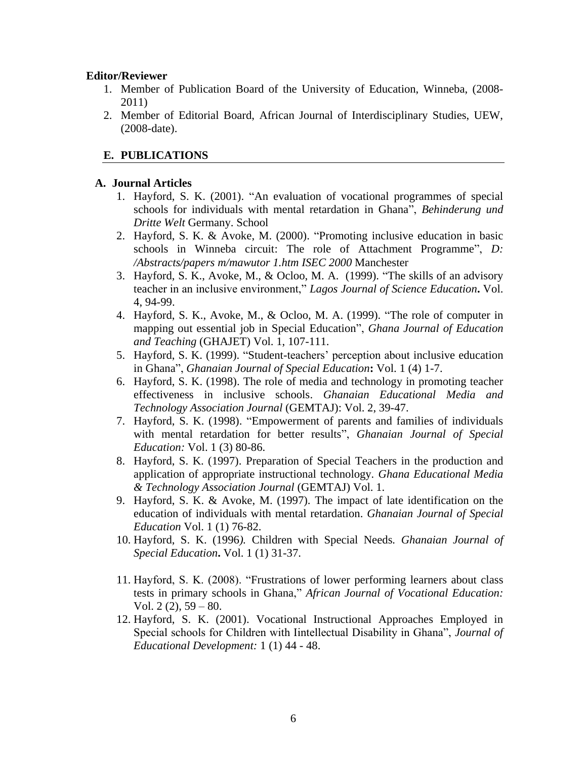#### **Editor/Reviewer**

- 1. Member of Publication Board of the University of Education, Winneba, (2008- 2011)
- 2. Member of Editorial Board, African Journal of Interdisciplinary Studies, UEW, (2008-date).

### **E. PUBLICATIONS**

#### **A. Journal Articles**

- 1. Hayford, S. K. (2001). "An evaluation of vocational programmes of special schools for individuals with mental retardation in Ghana", *Behinderung und Dritte Welt* Germany. School
- 2. Hayford, S. K. & Avoke, M. (2000). "Promoting inclusive education in basic schools in Winneba circuit: The role of Attachment Programme", *D: /Abstracts/papers m/mawutor 1.htm ISEC 2000* Manchester
- 3. Hayford, S. K., Avoke, M., & Ocloo, M. A. (1999). "The skills of an advisory teacher in an inclusive environment," *Lagos Journal of Science Education***.** Vol. 4, 94-99.
- 4. Hayford, S. K., Avoke, M., & Ocloo, M. A. (1999). "The role of computer in mapping out essential job in Special Education", *Ghana Journal of Education and Teaching* (GHAJET) Vol. 1, 107-111.
- 5. Hayford, S. K. (1999). "Student-teachers' perception about inclusive education in Ghana", *Ghanaian Journal of Special Education***:** Vol. 1 (4) 1-7.
- 6. Hayford, S. K. (1998). The role of media and technology in promoting teacher effectiveness in inclusive schools. *Ghanaian Educational Media and Technology Association Journal* (GEMTAJ): Vol. 2, 39-47.
- 7. Hayford, S. K. (1998). "Empowerment of parents and families of individuals with mental retardation for better results", *Ghanaian Journal of Special Education:* Vol. 1 (3) 80-86.
- 8. Hayford, S. K. (1997). Preparation of Special Teachers in the production and application of appropriate instructional technology*. Ghana Educational Media & Technology Association Journal* (GEMTAJ) Vol. 1.
- 9. Hayford, S. K. & Avoke, M. (1997). The impact of late identification on the education of individuals with mental retardation. *Ghanaian Journal of Special Education* Vol. 1 (1) 76-82.
- 10. Hayford, S. K. (1996*).* Children with Special Needs*. Ghanaian Journal of Special Education***.** Vol. 1 (1) 31-37.
- 11. Hayford, S. K. (2008). "Frustrations of lower performing learners about class tests in primary schools in Ghana," *African Journal of Vocational Education:* Vol.  $2(2)$ ,  $59 - 80$ .
- 12. Hayford, S. K. (2001). Vocational Instructional Approaches Employed in Special schools for Children with Iintellectual Disability in Ghana", *Journal of Educational Development:* 1 (1) 44 - 48.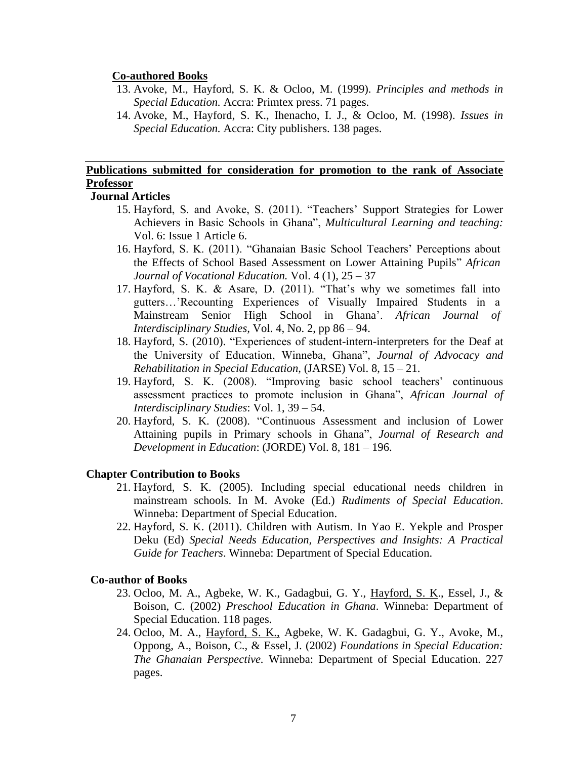#### **Co-authored Books**

- 13. Avoke, M., Hayford, S. K. & Ocloo, M. (1999). *Principles and methods in Special Education.* Accra: Primtex press. 71 pages.
- 14. Avoke, M., Hayford, S. K., Ihenacho, I. J., & Ocloo, M. (1998). *Issues in Special Education.* Accra: City publishers. 138 pages.

# **Publications submitted for consideration for promotion to the rank of Associate Professor**

### **Journal Articles**

- 15. Hayford, S. and Avoke, S. (2011). "Teachers' Support Strategies for Lower Achievers in Basic Schools in Ghana", *Multicultural Learning and teaching:*  Vol. 6: Issue 1 Article 6.
- 16. Hayford, S. K. (2011). "Ghanaian Basic School Teachers' Perceptions about the Effects of School Based Assessment on Lower Attaining Pupils" *African Journal of Vocational Education.* Vol. 4 (1), 25 – 37
- 17. Hayford, S. K. & Asare, D. (2011). "That's why we sometimes fall into gutters…'Recounting Experiences of Visually Impaired Students in a Mainstream Senior High School in Ghana'. *African Journal of Interdisciplinary Studies,* Vol. 4, No. 2, pp 86 – 94.
- 18. Hayford, S. (2010). "Experiences of student-intern-interpreters for the Deaf at the University of Education, Winneba, Ghana", *Journal of Advocacy and Rehabilitation in Special Education,* (JARSE) Vol. 8, 15 – 21.
- 19. Hayford, S. K. (2008). "Improving basic school teachers' continuous assessment practices to promote inclusion in Ghana", *African Journal of Interdisciplinary Studies*: Vol. 1, 39 – 54.
- 20. Hayford, S. K. (2008). "Continuous Assessment and inclusion of Lower Attaining pupils in Primary schools in Ghana", *Journal of Research and Development in Education*: (JORDE) Vol. 8, 181 – 196.

### **Chapter Contribution to Books**

- 21. Hayford, S. K. (2005). Including special educational needs children in mainstream schools. In M. Avoke (Ed.) *Rudiments of Special Education*. Winneba: Department of Special Education.
- 22. Hayford, S. K. (2011). Children with Autism. In Yao E. Yekple and Prosper Deku (Ed) *Special Needs Education, Perspectives and Insights: A Practical Guide for Teachers*. Winneba: Department of Special Education.

#### **Co-author of Books**

- 23. Ocloo, M. A., Agbeke, W. K., Gadagbui, G. Y., Hayford, S. K., Essel, J., & Boison, C. (2002) *Preschool Education in Ghana*. Winneba: Department of Special Education. 118 pages.
- 24. Ocloo, M. A., Hayford, S. K., Agbeke, W. K. Gadagbui, G. Y., Avoke, M., Oppong, A., Boison, C., & Essel, J. (2002) *Foundations in Special Education: The Ghanaian Perspective.* Winneba: Department of Special Education. 227 pages.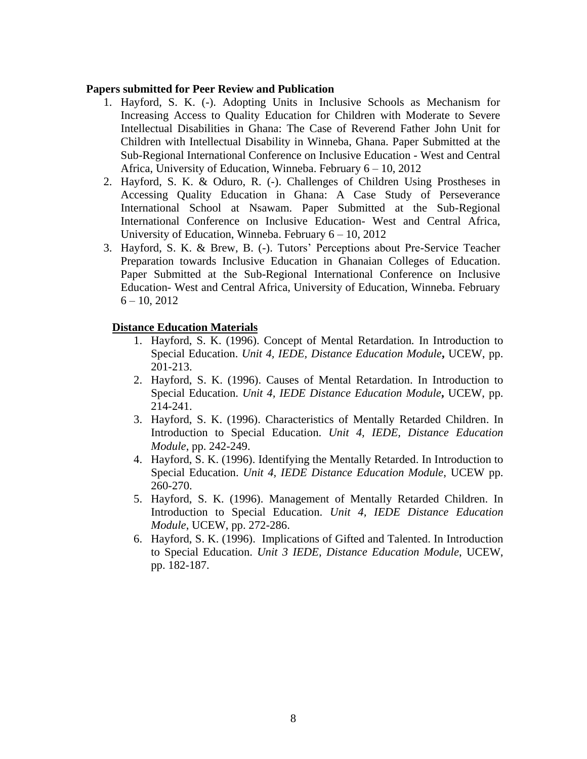#### **Papers submitted for Peer Review and Publication**

- 1. Hayford, S. K. (-). Adopting Units in Inclusive Schools as Mechanism for Increasing Access to Quality Education for Children with Moderate to Severe Intellectual Disabilities in Ghana: The Case of Reverend Father John Unit for Children with Intellectual Disability in Winneba, Ghana. Paper Submitted at the Sub-Regional International Conference on Inclusive Education - West and Central Africa, University of Education, Winneba. February 6 – 10, 2012
- 2. Hayford, S. K. & Oduro, R. (-). Challenges of Children Using Prostheses in Accessing Quality Education in Ghana: A Case Study of Perseverance International School at Nsawam. Paper Submitted at the Sub-Regional International Conference on Inclusive Education- West and Central Africa, University of Education, Winneba. February 6 – 10, 2012
- 3. Hayford, S. K. & Brew, B. (-). Tutors' Perceptions about Pre-Service Teacher Preparation towards Inclusive Education in Ghanaian Colleges of Education. Paper Submitted at the Sub-Regional International Conference on Inclusive Education- West and Central Africa, University of Education, Winneba. February  $6 - 10, 2012$

# **Distance Education Materials**

- 1. Hayford, S. K. (1996). Concept of Mental Retardation*.* In Introduction to Special Education. *Unit 4, IEDE, Distance Education Module***,** UCEW, pp. 201-213.
- 2. Hayford, S. K. (1996). Causes of Mental Retardation. In Introduction to Special Education. *Unit 4, IEDE Distance Education Module***,** UCEW, pp. 214-241.
- 3. Hayford, S. K. (1996). Characteristics of Mentally Retarded Children. In Introduction to Special Education. *Unit 4, IEDE, Distance Education Module*, pp. 242-249.
- 4. Hayford, S. K. (1996). Identifying the Mentally Retarded. In Introduction to Special Education. *Unit 4, IEDE Distance Education Module*, UCEW pp. 260-270.
- 5. Hayford, S. K. (1996). Management of Mentally Retarded Children. In Introduction to Special Education. *Unit 4, IEDE Distance Education Module*, UCEW, pp. 272-286.
- 6. Hayford, S. K. (1996). Implications of Gifted and Talented. In Introduction to Special Education. *Unit 3 IEDE, Distance Education Module*, UCEW, pp. 182-187.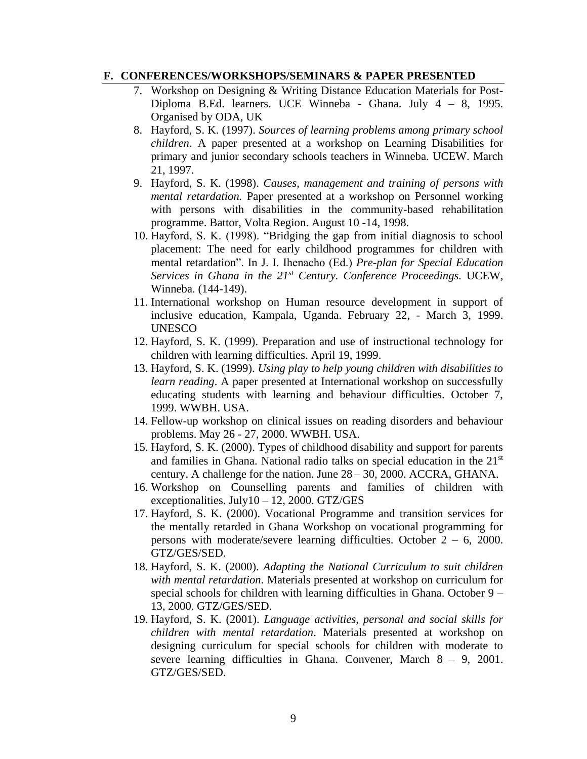#### **F. CONFERENCES/WORKSHOPS/SEMINARS & PAPER PRESENTED**

- 7. Workshop on Designing & Writing Distance Education Materials for Post-Diploma B.Ed. learners. UCE Winneba - Ghana. July 4 – 8, 1995. Organised by ODA, UK
- 8. Hayford, S. K. (1997). *Sources of learning problems among primary school children*. A paper presented at a workshop on Learning Disabilities for primary and junior secondary schools teachers in Winneba. UCEW. March 21, 1997.
- 9. Hayford, S. K. (1998). *Causes, management and training of persons with mental retardation.* Paper presented at a workshop on Personnel working with persons with disabilities in the community-based rehabilitation programme. Battor, Volta Region. August 10 -14, 1998.
- 10. Hayford, S. K. (1998). "Bridging the gap from initial diagnosis to school placement: The need for early childhood programmes for children with mental retardation". In J. I. Ihenacho (Ed.) *Pre-plan for Special Education Services in Ghana in the 21st Century. Conference Proceedings.* UCEW, Winneba. (144-149).
- 11. International workshop on Human resource development in support of inclusive education, Kampala, Uganda. February 22, - March 3, 1999. UNESCO
- 12. Hayford, S. K. (1999). Preparation and use of instructional technology for children with learning difficulties. April 19, 1999.
- 13. Hayford, S. K. (1999). *Using play to help young children with disabilities to learn reading*. A paper presented at International workshop on successfully educating students with learning and behaviour difficulties. October 7, 1999. WWBH. USA.
- 14. Fellow-up workshop on clinical issues on reading disorders and behaviour problems. May 26 - 27, 2000. WWBH. USA.
- 15. Hayford, S. K. (2000). Types of childhood disability and support for parents and families in Ghana. National radio talks on special education in the 21st century. A challenge for the nation. June 28 – 30, 2000. ACCRA, GHANA.
- 16. Workshop on Counselling parents and families of children with exceptionalities. July10 – 12, 2000. GTZ/GES
- 17. Hayford, S. K. (2000). Vocational Programme and transition services for the mentally retarded in Ghana Workshop on vocational programming for persons with moderate/severe learning difficulties. October  $2 - 6$ , 2000. GTZ/GES/SED.
- 18. Hayford, S. K. (2000). *Adapting the National Curriculum to suit children with mental retardation*. Materials presented at workshop on curriculum for special schools for children with learning difficulties in Ghana. October 9 – 13, 2000. GTZ/GES/SED.
- 19. Hayford, S. K. (2001). *Language activities, personal and social skills for children with mental retardation*. Materials presented at workshop on designing curriculum for special schools for children with moderate to severe learning difficulties in Ghana. Convener, March 8 – 9, 2001. GTZ/GES/SED.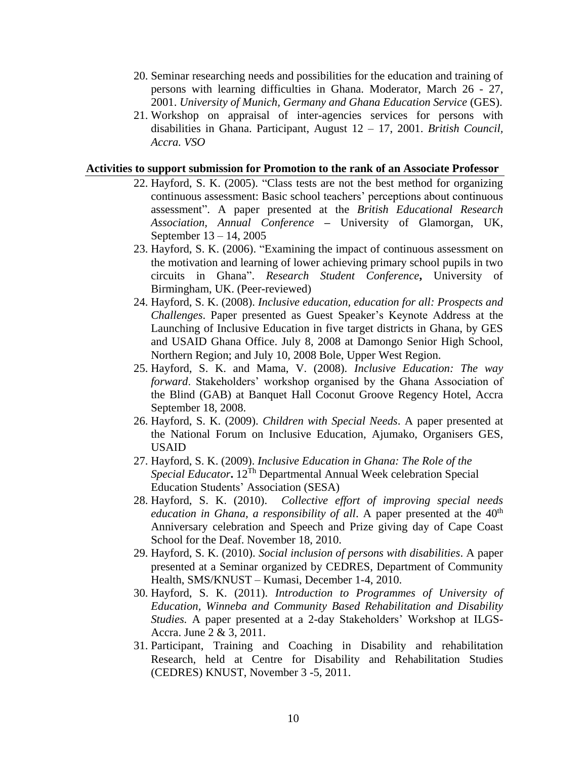- 20. Seminar researching needs and possibilities for the education and training of persons with learning difficulties in Ghana. Moderator, March 26 - 27, 2001. *University of Munich, Germany and Ghana Education Service* (GES).
- 21. Workshop on appraisal of inter-agencies services for persons with disabilities in Ghana. Participant, August 12 – 17, 2001. *British Council, Accra. VSO*

#### **Activities to support submission for Promotion to the rank of an Associate Professor**

- 22. Hayford, S. K. (2005). "Class tests are not the best method for organizing continuous assessment: Basic school teachers' perceptions about continuous assessment". A paper presented at the *British Educational Research Association, Annual Conference* **–** University of Glamorgan, UK, September 13 – 14, 2005
- 23. Hayford, S. K. (2006). "Examining the impact of continuous assessment on the motivation and learning of lower achieving primary school pupils in two circuits in Ghana". *Research Student Conference***,** University of Birmingham, UK. (Peer-reviewed)
- 24. Hayford, S. K. (2008). *Inclusive education, education for all: Prospects and Challenges*. Paper presented as Guest Speaker's Keynote Address at the Launching of Inclusive Education in five target districts in Ghana, by GES and USAID Ghana Office. July 8, 2008 at Damongo Senior High School, Northern Region; and July 10, 2008 Bole, Upper West Region.
- 25. Hayford, S. K. and Mama, V. (2008). *Inclusive Education: The way forward*. Stakeholders' workshop organised by the Ghana Association of the Blind (GAB) at Banquet Hall Coconut Groove Regency Hotel, Accra September 18, 2008.
- 26. Hayford, S. K. (2009). *Children with Special Needs*. A paper presented at the National Forum on Inclusive Education, Ajumako, Organisers GES, USAID
- 27. Hayford, S. K. (2009). *Inclusive Education in Ghana: The Role of the Special Educator***.** 12Th Departmental Annual Week celebration Special Education Students' Association (SESA)
- 28. Hayford, S. K. (2010). *Collective effort of improving special needs education in Ghana, a responsibility of all.* A paper presented at the 40<sup>th</sup> Anniversary celebration and Speech and Prize giving day of Cape Coast School for the Deaf. November 18, 2010.
- 29. Hayford, S. K. (2010). *Social inclusion of persons with disabilities*. A paper presented at a Seminar organized by CEDRES, Department of Community Health, SMS/KNUST – Kumasi, December 1-4, 2010.
- 30. Hayford, S. K. (2011). *Introduction to Programmes of University of Education, Winneba and Community Based Rehabilitation and Disability Studies.* A paper presented at a 2-day Stakeholders' Workshop at ILGS-Accra. June 2 & 3, 2011.
- 31. Participant, Training and Coaching in Disability and rehabilitation Research, held at Centre for Disability and Rehabilitation Studies (CEDRES) KNUST, November 3 -5, 2011.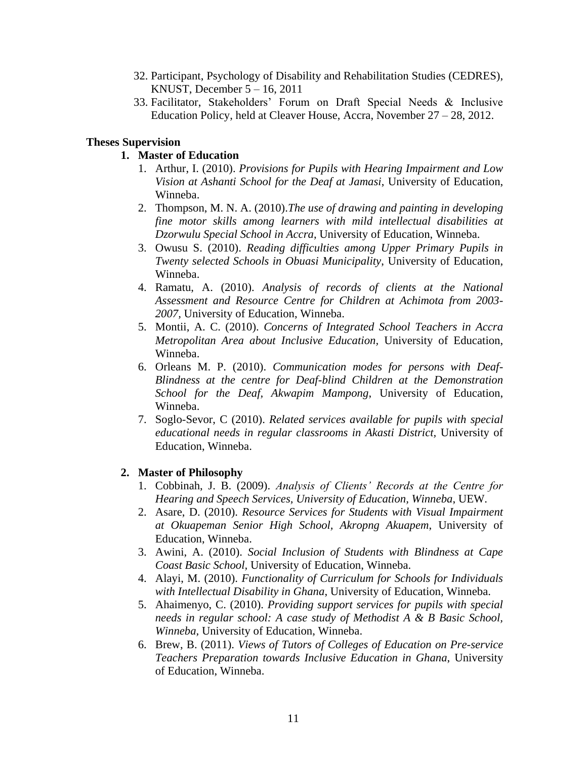- 32. Participant, Psychology of Disability and Rehabilitation Studies (CEDRES), KNUST, December  $5 - 16$ , 2011
- 33. Facilitator, Stakeholders' Forum on Draft Special Needs & Inclusive Education Policy, held at Cleaver House, Accra, November 27 – 28, 2012.

### **Theses Supervision**

### **1. Master of Education**

- 1. Arthur, I. (2010). *Provisions for Pupils with Hearing Impairment and Low Vision at Ashanti School for the Deaf at Jamasi*, University of Education, Winneba.
- 2. Thompson, M. N. A. (2010).*The use of drawing and painting in developing fine motor skills among learners with mild intellectual disabilities at Dzorwulu Special School in Accra*, University of Education, Winneba.
- 3. Owusu S. (2010). *Reading difficulties among Upper Primary Pupils in Twenty selected Schools in Obuasi Municipality*, University of Education, Winneba.
- 4. Ramatu, A. (2010). *Analysis of records of clients at the National Assessment and Resource Centre for Children at Achimota from 2003- 2007,* University of Education, Winneba.
- 5. Montii, A. C. (2010). *Concerns of Integrated School Teachers in Accra Metropolitan Area about Inclusive Education,* University of Education, Winneba.
- 6. Orleans M. P. (2010). *Communication modes for persons with Deaf-Blindness at the centre for Deaf-blind Children at the Demonstration School for the Deaf, Akwapim Mampong*, University of Education, Winneba.
- 7. Soglo-Sevor, C (2010). *Related services available for pupils with special educational needs in regular classrooms in Akasti District,* University of Education, Winneba.

### **2. Master of Philosophy**

- 1. Cobbinah, J. B. (2009). *Analysis of Clients' Records at the Centre for Hearing and Speech Services, University of Education, Winneba*, UEW.
- 2. Asare, D. (2010). *Resource Services for Students with Visual Impairment at Okuapeman Senior High School, Akropng Akuapem*, University of Education, Winneba.
- 3. Awini, A. (2010). *Social Inclusion of Students with Blindness at Cape Coast Basic School,* University of Education, Winneba.
- 4. Alayi, M. (2010). *Functionality of Curriculum for Schools for Individuals with Intellectual Disability in Ghana*, University of Education, Winneba.
- 5. Ahaimenyo, C. (2010). *Providing support services for pupils with special needs in regular school: A case study of Methodist A & B Basic School, Winneba,* University of Education, Winneba.
- 6. Brew, B. (2011). *Views of Tutors of Colleges of Education on Pre-service Teachers Preparation towards Inclusive Education in Ghana*, University of Education, Winneba.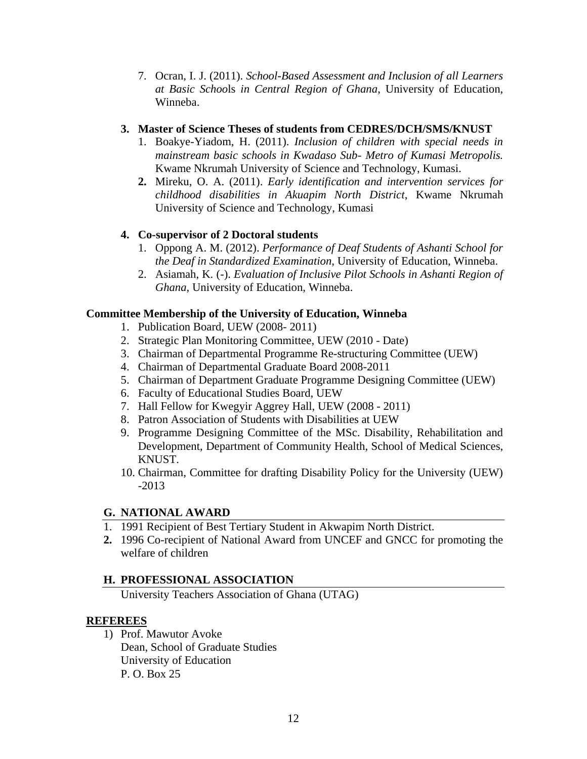7. Ocran, I. J. (2011). *School-Based Assessment and Inclusion of all Learners at Basic Schoo*ls *in Central Region of Ghana*, University of Education, Winneba.

# **3. Master of Science Theses of students from CEDRES/DCH/SMS/KNUST**

- 1. Boakye-Yiadom, H. (2011). *Inclusion of children with special needs in mainstream basic schools in Kwadaso Sub- Metro of Kumasi Metropolis.* Kwame Nkrumah University of Science and Technology, Kumasi.
- **2.** Mireku, O. A. (2011). *Early identification and intervention services for childhood disabilities in Akuapim North District*, Kwame Nkrumah University of Science and Technology, Kumasi

# **4. Co-supervisor of 2 Doctoral students**

- 1. Oppong A. M. (2012). *Performance of Deaf Students of Ashanti School for the Deaf in Standardized Examination*, University of Education, Winneba.
- 2. Asiamah, K. (-). *Evaluation of Inclusive Pilot Schools in Ashanti Region of Ghana*, University of Education, Winneba.

# **Committee Membership of the University of Education, Winneba**

- 1. Publication Board, UEW (2008- 2011)
- 2. Strategic Plan Monitoring Committee, UEW (2010 Date)
- 3. Chairman of Departmental Programme Re-structuring Committee (UEW)
- 4. Chairman of Departmental Graduate Board 2008-2011
- 5. Chairman of Department Graduate Programme Designing Committee (UEW)
- 6. Faculty of Educational Studies Board, UEW
- 7. Hall Fellow for Kwegyir Aggrey Hall, UEW (2008 2011)
- 8. Patron Association of Students with Disabilities at UEW
- 9. Programme Designing Committee of the MSc. Disability, Rehabilitation and Development, Department of Community Health, School of Medical Sciences, KNUST.
- 10. Chairman, Committee for drafting Disability Policy for the University (UEW) -2013

# **G. NATIONAL AWARD**

- 1. 1991 Recipient of Best Tertiary Student in Akwapim North District.
- **2.** 1996 Co-recipient of National Award from UNCEF and GNCC for promoting the welfare of children

# **H. PROFESSIONAL ASSOCIATION**

University Teachers Association of Ghana (UTAG)

# **REFEREES**

1) Prof. Mawutor Avoke Dean, School of Graduate Studies University of Education P. O. Box 25